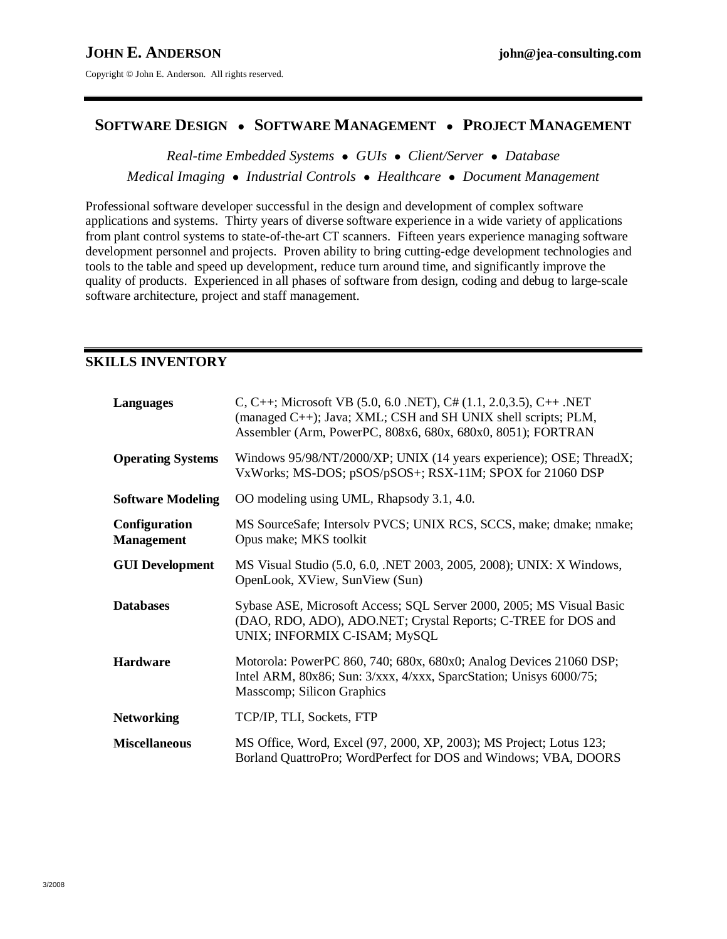# **SOFTWARE DESIGN** ● **SOFTWARE MANAGEMENT** ● **PROJECT MANAGEMENT**

*Real-time Embedded Systems* ● *GUIs* ● *Client/Server* ● *Database Medical Imaging* ● *Industrial Controls* ● *Healthcare* ● *Document Management*

Professional software developer successful in the design and development of complex software applications and systems. Thirty years of diverse software experience in a wide variety of applications from plant control systems to state-of-the-art CT scanners. Fifteen years experience managing software development personnel and projects. Proven ability to bring cutting-edge development technologies and tools to the table and speed up development, reduce turn around time, and significantly improve the quality of products. Experienced in all phases of software from design, coding and debug to large-scale software architecture, project and staff management.

### **SKILLS INVENTORY**

| Languages                                 | C, C++; Microsoft VB $(5.0, 6.0 \text{ .NET})$ , C# $(1.1, 2.0, 3.5)$ , C++ .NET<br>(managed C++); Java; XML; CSH and SH UNIX shell scripts; PLM,<br>Assembler (Arm, PowerPC, 808x6, 680x, 680x0, 8051); FORTRAN |
|-------------------------------------------|------------------------------------------------------------------------------------------------------------------------------------------------------------------------------------------------------------------|
| <b>Operating Systems</b>                  | Windows 95/98/NT/2000/XP; UNIX (14 years experience); OSE; ThreadX;<br>VxWorks; MS-DOS; pSOS/pSOS+; RSX-11M; SPOX for 21060 DSP                                                                                  |
| <b>Software Modeling</b>                  | OO modeling using UML, Rhapsody 3.1, 4.0.                                                                                                                                                                        |
| <b>Configuration</b><br><b>Management</b> | MS SourceSafe; Intersolv PVCS; UNIX RCS, SCCS, make; dmake; nmake;<br>Opus make; MKS toolkit                                                                                                                     |
| <b>GUI Development</b>                    | MS Visual Studio (5.0, 6.0, .NET 2003, 2005, 2008); UNIX: X Windows,<br>OpenLook, XView, SunView (Sun)                                                                                                           |
| <b>Databases</b>                          | Sybase ASE, Microsoft Access; SQL Server 2000, 2005; MS Visual Basic<br>(DAO, RDO, ADO), ADO.NET; Crystal Reports; C-TREE for DOS and<br>UNIX; INFORMIX C-ISAM; MySQL                                            |
| <b>Hardware</b>                           | Motorola: PowerPC 860, 740; 680x, 680x0; Analog Devices 21060 DSP;<br>Intel ARM, 80x86; Sun: 3/xxx, 4/xxx, SparcStation; Unisys 6000/75;<br>Masscomp; Silicon Graphics                                           |
| <b>Networking</b>                         | TCP/IP, TLI, Sockets, FTP                                                                                                                                                                                        |
| <b>Miscellaneous</b>                      | MS Office, Word, Excel (97, 2000, XP, 2003); MS Project; Lotus 123;<br>Borland QuattroPro; WordPerfect for DOS and Windows; VBA, DOORS                                                                           |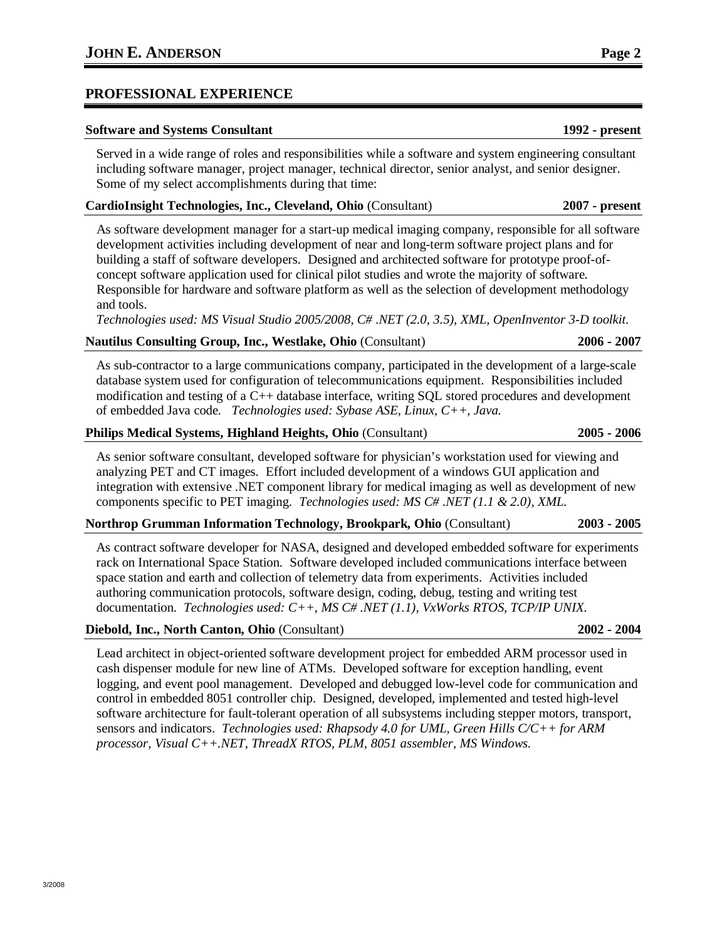### **PROFESSIONAL EXPERIENCE**

#### **Software and Systems Consultant 1992 - present**

Served in a wide range of roles and responsibilities while a software and system engineering consultant including software manager, project manager, technical director, senior analyst, and senior designer. Some of my select accomplishments during that time:

#### **CardioInsight Technologies, Inc., Cleveland, Ohio** (Consultant) **2007 - present**

As software development manager for a start-up medical imaging company, responsible for all software development activities including development of near and long-term software project plans and for building a staff of software developers. Designed and architected software for prototype proof-ofconcept software application used for clinical pilot studies and wrote the majority of software. Responsible for hardware and software platform as well as the selection of development methodology and tools.

*Technologies used: MS Visual Studio 2005/2008, C# .NET (2.0, 3.5), XML, OpenInventor 3-D toolkit.* 

#### **Nautilus Consulting Group, Inc., Westlake, Ohio** (Consultant) **2006 - 2007**

As sub-contractor to a large communications company, participated in the development of a large-scale database system used for configuration of telecommunications equipment. Responsibilities included modification and testing of a C++ database interface, writing SQL stored procedures and development of embedded Java code. *Technologies used: Sybase ASE, Linux, C++, Java.* 

#### **Philips Medical Systems, Highland Heights, Ohio** (Consultant) **2005 - 2006**

As senior software consultant, developed software for physician's workstation used for viewing and analyzing PET and CT images. Effort included development of a windows GUI application and integration with extensive .NET component library for medical imaging as well as development of new components specific to PET imaging. *Technologies used: MS C# .NET (1.1 & 2.0), XML.* 

## **Northrop Grumman Information Technology, Brookpark, Ohio** (Consultant) **2003 - 2005**

As contract software developer for NASA, designed and developed embedded software for experiments rack on International Space Station. Software developed included communications interface between space station and earth and collection of telemetry data from experiments. Activities included authoring communication protocols, software design, coding, debug, testing and writing test documentation. *Technologies used: C++, MS C# .NET (1.1), VxWorks RTOS, TCP/IP UNIX.*

## **Diebold, Inc., North Canton, Ohio** (Consultant) **2002 - 2004**

Lead architect in object-oriented software development project for embedded ARM processor used in cash dispenser module for new line of ATMs. Developed software for exception handling, event logging, and event pool management. Developed and debugged low-level code for communication and control in embedded 8051 controller chip. Designed, developed, implemented and tested high-level software architecture for fault-tolerant operation of all subsystems including stepper motors, transport, sensors and indicators. *Technologies used: Rhapsody 4.0 for UML, Green Hills C/C++ for ARM processor, Visual C++.NET, ThreadX RTOS, PLM, 8051 assembler, MS Windows.*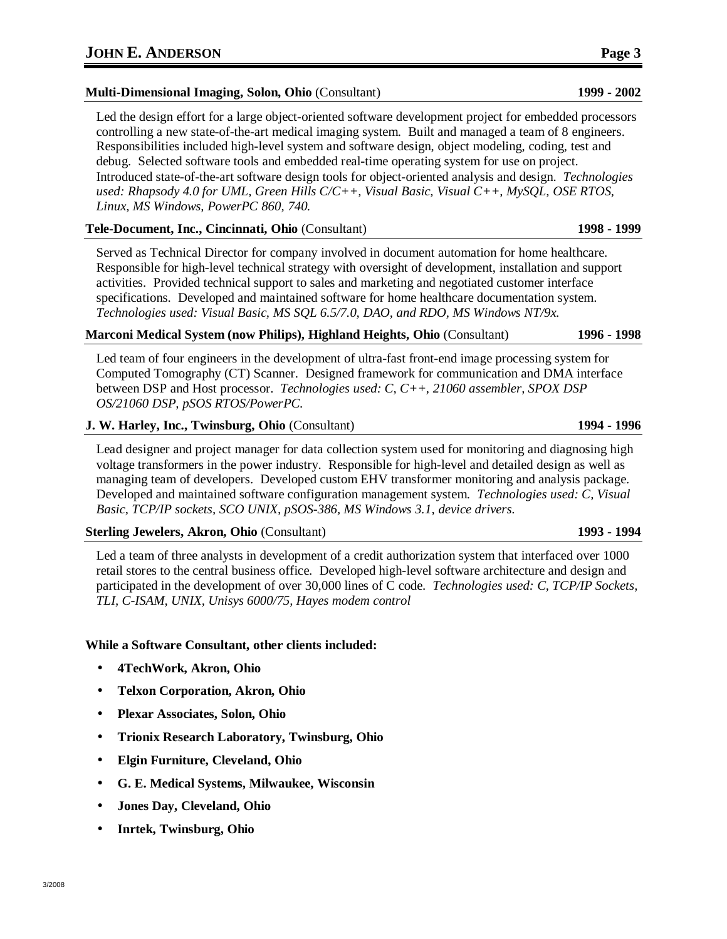**Multi-Dimensional Imaging, Solon, Ohio** (Consultant) **1999 - 2002** 

Led the design effort for a large object-oriented software development project for embedded processors controlling a new state-of-the-art medical imaging system. Built and managed a team of 8 engineers. Responsibilities included high-level system and software design, object modeling, coding, test and debug. Selected software tools and embedded real-time operating system for use on project. Introduced state-of-the-art software design tools for object-oriented analysis and design. *Technologies used: Rhapsody 4.0 for UML, Green Hills C/C++, Visual Basic, Visual C++, MySQL, OSE RTOS, Linux, MS Windows, PowerPC 860, 740.*

**Tele-Document, Inc., Cincinnati, Ohio** (Consultant) **1998 - 1999** 

Served as Technical Director for company involved in document automation for home healthcare. Responsible for high-level technical strategy with oversight of development, installation and support activities. Provided technical support to sales and marketing and negotiated customer interface specifications. Developed and maintained software for home healthcare documentation system. *Technologies used: Visual Basic, MS SQL 6.5/7.0, DAO, and RDO, MS Windows NT/9x.*

### **Marconi Medical System (now Philips), Highland Heights, Ohio** (Consultant) **1996 - 1998**

Led team of four engineers in the development of ultra-fast front-end image processing system for Computed Tomography (CT) Scanner. Designed framework for communication and DMA interface between DSP and Host processor. *Technologies used: C, C++, 21060 assembler, SPOX DSP OS/21060 DSP, pSOS RTOS/PowerPC.*

## **J. W. Harley, Inc., Twinsburg, Ohio** (Consultant) **1994 - 1996**

Lead designer and project manager for data collection system used for monitoring and diagnosing high voltage transformers in the power industry. Responsible for high-level and detailed design as well as managing team of developers. Developed custom EHV transformer monitoring and analysis package. Developed and maintained software configuration management system. *Technologies used: C, Visual Basic, TCP/IP sockets, SCO UNIX, pSOS-386, MS Windows 3.1, device drivers.*

## **Sterling Jewelers, Akron, Ohio** (Consultant) **1993 - 1994**

Led a team of three analysts in development of a credit authorization system that interfaced over 1000 retail stores to the central business office. Developed high-level software architecture and design and participated in the development of over 30,000 lines of C code. *Technologies used: C, TCP/IP Sockets, TLI, C-ISAM, UNIX, Unisys 6000/75, Hayes modem control* 

## **While a Software Consultant, other clients included:**

- **4TechWork, Akron, Ohio**
- **Telxon Corporation, Akron, Ohio**
- **Plexar Associates, Solon, Ohio**
- **Trionix Research Laboratory, Twinsburg, Ohio**
- **Elgin Furniture, Cleveland, Ohio**
- **G. E. Medical Systems, Milwaukee, Wisconsin**
- **Jones Day, Cleveland, Ohio**
- **Inrtek, Twinsburg, Ohio**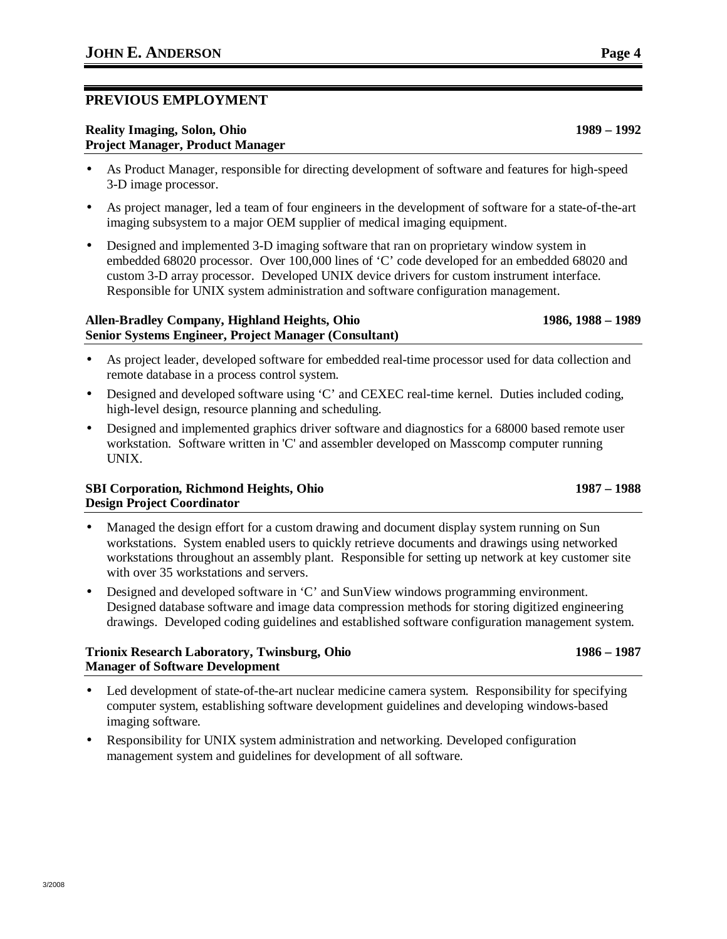# **PREVIOUS EMPLOYMENT**

#### **Reality Imaging, Solon, Ohio 1989 – 1992 Project Manager, Product Manager**

- As Product Manager, responsible for directing development of software and features for high-speed 3-D image processor.
- As project manager, led a team of four engineers in the development of software for a state-of-the-art imaging subsystem to a major OEM supplier of medical imaging equipment.
- Designed and implemented 3-D imaging software that ran on proprietary window system in embedded 68020 processor. Over 100,000 lines of 'C' code developed for an embedded 68020 and custom 3-D array processor. Developed UNIX device drivers for custom instrument interface. Responsible for UNIX system administration and software configuration management.

### **Allen-Bradley Company, Highland Heights, Ohio 1986, 1988 – 1989 Senior Systems Engineer, Project Manager (Consultant)**

- As project leader, developed software for embedded real-time processor used for data collection and remote database in a process control system.
- Designed and developed software using 'C' and CEXEC real-time kernel. Duties included coding, high-level design, resource planning and scheduling.
- Designed and implemented graphics driver software and diagnostics for a 68000 based remote user workstation. Software written in 'C' and assembler developed on Masscomp computer running UNIX.

## **SBI Corporation, Richmond Heights, Ohio 1987 – 1988 Design Project Coordinator**

- Managed the design effort for a custom drawing and document display system running on Sun workstations. System enabled users to quickly retrieve documents and drawings using networked workstations throughout an assembly plant. Responsible for setting up network at key customer site with over 35 workstations and servers.
- Designed and developed software in 'C' and SunView windows programming environment. Designed database software and image data compression methods for storing digitized engineering drawings. Developed coding guidelines and established software configuration management system.

### **Trionix Research Laboratory, Twinsburg, Ohio 1986 – 1987 Manager of Software Development**

- Led development of state-of-the-art nuclear medicine camera system. Responsibility for specifying computer system, establishing software development guidelines and developing windows-based imaging software.
- Responsibility for UNIX system administration and networking. Developed configuration management system and guidelines for development of all software.

3/2008